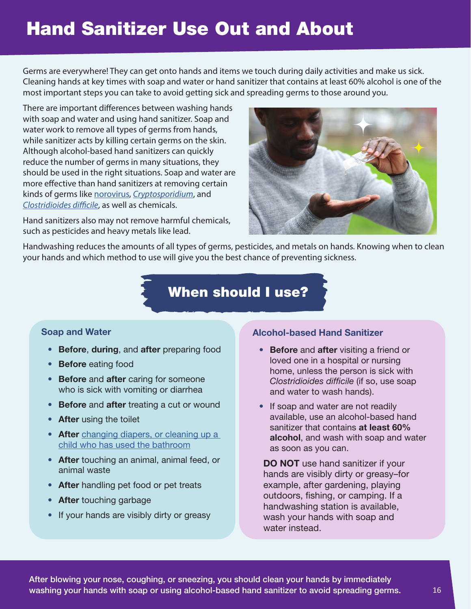# **Hand Sanitizer Use Out and About**

Germs are everywhere! They can get onto hands and items we touch during daily activities and make us sick. Cleaning hands at key times with soap and water or hand sanitizer that contains at least 60% alcohol is one of the most important steps you can take to avoid getting sick and spreading germs to those around you.

There are important differences between washing hands with soap and water and using hand sanitizer. Soap and water work to remove all types of germs from hands, while sanitizer acts by killing certain germs on the skin. Although alcohol-based hand sanitizers can quickly reduce the number of germs in many situations, they should be used in the right situations. Soap and water are more effective than hand sanitizers at removing certain kinds of germs like norovirus, Cryptosporidium, and Clostridioides difficile, as well as chemicals.

Hand sanitizers also may not remove harmful chemicals, such as pesticides and heavy metals like lead.



Handwashing reduces the amounts of all types of germs, pesticides, and metals on hands. Knowing when to clean your hands and which method to use will give you the best chance of preventing sickness.

# **When should I use?**

#### **Soap and Water**

- **Before**, **during**, and **after** preparing food
- **Before** eating food
- **Before** and **after** caring for someone who is sick with vomiting or diarrhea
- **Before** and **after** treating a cut or wound
- **After** using the toilet
- **After** changing diapers, or cleaning up a child who has used the bathroom
- **After** touching an animal, animal feed, or animal waste
- **After** handling pet food or pet treats
- **After** touching garbage
- If your hands are visibly dirty or greasy

#### **Alcohol-based Hand Sanitizer**

- **Before** and **after** visiting a friend or loved one in a hospital or nursing home, unless the person is sick with Clostridioides difficile (if so, use soap and water to wash hands).
- If soap and water are not readily available, use an alcohol-based hand sanitizer that contains **at least 60% alcohol**, and wash with soap and water as soon as you can.

**DO NOT** use hand sanitizer if your hands are visibly dirty or greasy–for example, after gardening, playing outdoors, fishing, or camping. If a handwashing station is available, wash your hands with soap and water instead.

**After blowing your nose, coughing, or sneezing, you should clean your hands by immediately washing your hands with soap or using alcohol-based hand sanitizer to avoid spreading germs.**  $16$